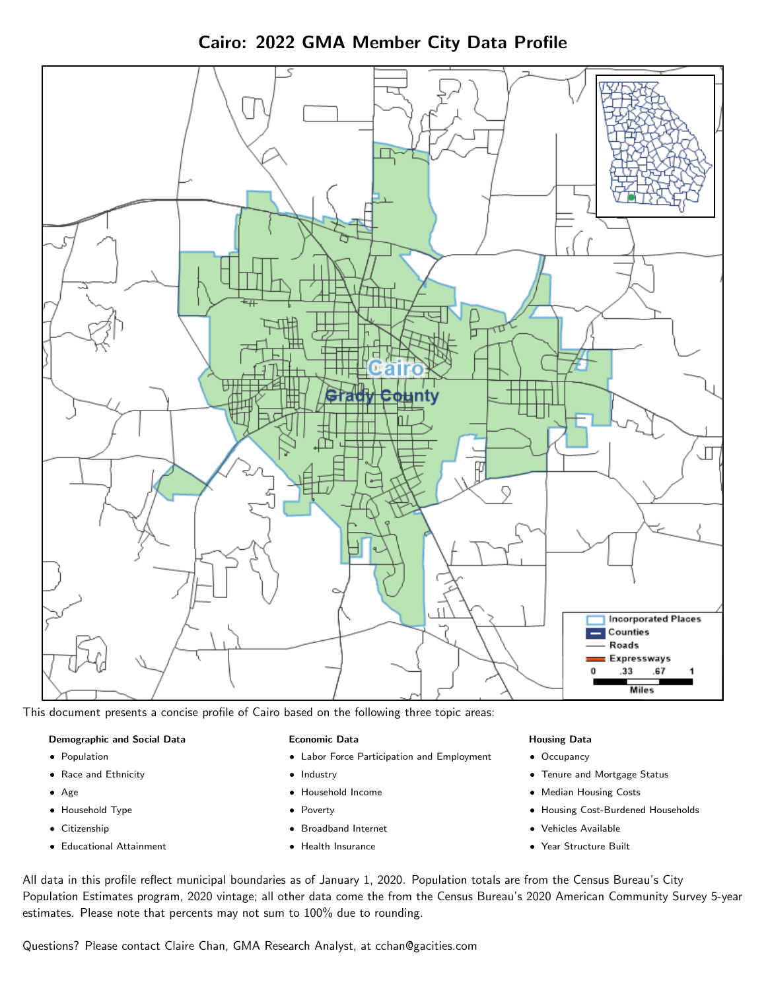Cairo: 2022 GMA Member City Data Profile



This document presents a concise profile of Cairo based on the following three topic areas:

#### Demographic and Social Data

- **•** Population
- Race and Ethnicity
- Age
- Household Type
- **Citizenship**
- Educational Attainment

#### Economic Data

- Labor Force Participation and Employment
- Industry
- Household Income
- Poverty
- Broadband Internet
- Health Insurance

#### Housing Data

- Occupancy
- Tenure and Mortgage Status
- Median Housing Costs
- Housing Cost-Burdened Households
- Vehicles Available
- Year Structure Built

All data in this profile reflect municipal boundaries as of January 1, 2020. Population totals are from the Census Bureau's City Population Estimates program, 2020 vintage; all other data come the from the Census Bureau's 2020 American Community Survey 5-year estimates. Please note that percents may not sum to 100% due to rounding.

Questions? Please contact Claire Chan, GMA Research Analyst, at [cchan@gacities.com.](mailto:cchan@gacities.com)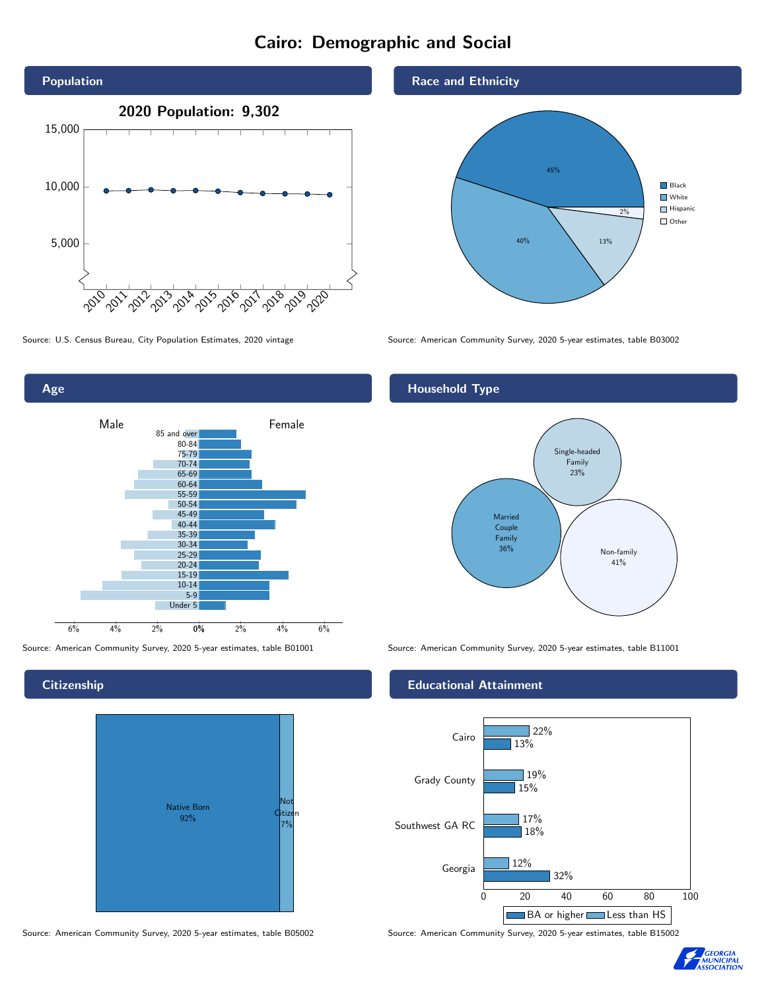# Cairo: Demographic and Social



0% 2% 4% 6% Male **Female** 6% 4% 2% 85 and over 80-84 75-79 70-74 65-69 60-64 55-59 50-54 45-49 40-44 35-39 30-34 25-29 20-24 15-19  $10-14$ 5-9 Under 5

**Citizenship** 

Age



Source: American Community Survey, 2020 5-year estimates, table B05002 Source: American Community Survey, 2020 5-year estimates, table B15002

Race and Ethnicity



Source: U.S. Census Bureau, City Population Estimates, 2020 vintage Source: American Community Survey, 2020 5-year estimates, table B03002

## Household Type



Source: American Community Survey, 2020 5-year estimates, table B01001 Source: American Community Survey, 2020 5-year estimates, table B11001

#### Educational Attainment



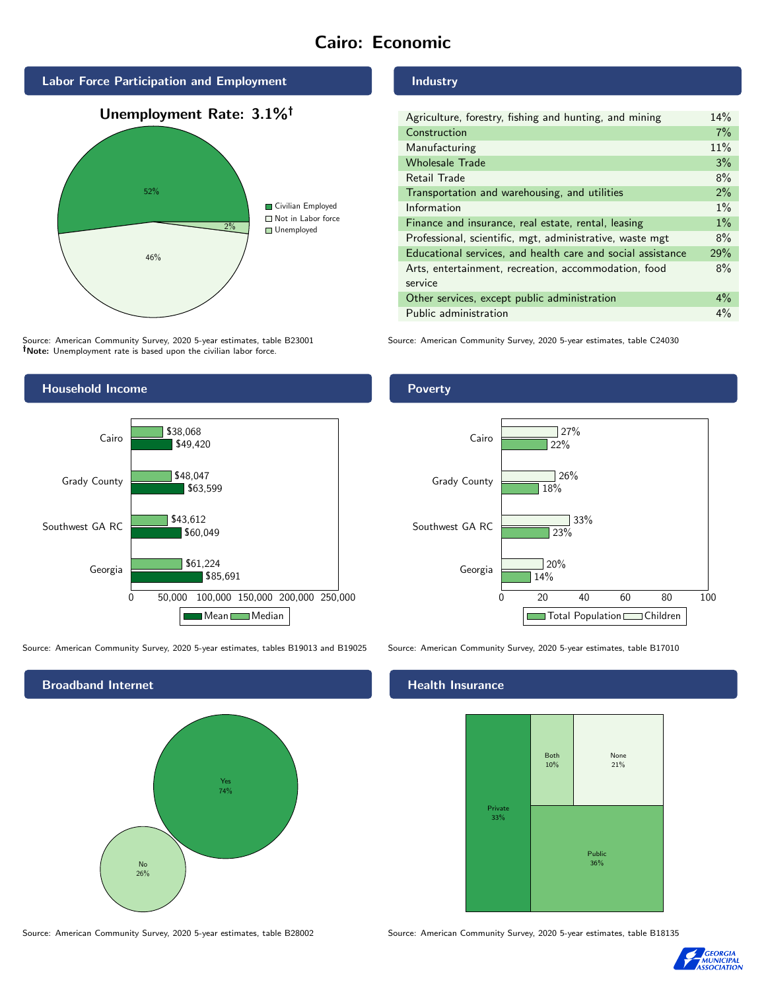# Cairo: Economic



Source: American Community Survey, 2020 5-year estimates, table B23001 Note: Unemployment rate is based upon the civilian labor force.

#### Industry

| Agriculture, forestry, fishing and hunting, and mining      | 14%   |
|-------------------------------------------------------------|-------|
| Construction                                                | 7%    |
| Manufacturing                                               | 11%   |
| <b>Wholesale Trade</b>                                      | 3%    |
| Retail Trade                                                | 8%    |
| Transportation and warehousing, and utilities               | $2\%$ |
| Information                                                 | $1\%$ |
| Finance and insurance, real estate, rental, leasing         | 1%    |
| Professional, scientific, mgt, administrative, waste mgt    | 8%    |
| Educational services, and health care and social assistance | 29%   |
| Arts, entertainment, recreation, accommodation, food        | 8%    |
| service                                                     |       |
| Other services, except public administration                | $4\%$ |
| Public administration                                       | $4\%$ |

Source: American Community Survey, 2020 5-year estimates, table C24030



Source: American Community Survey, 2020 5-year estimates, tables B19013 and B19025 Source: American Community Survey, 2020 5-year estimates, table B17010



Source: American Community Survey, 2020 5-year estimates, table B28002 Source: American Community Survey, 2020 5-year estimates, table B18135

Poverty



# **Health Insurance**